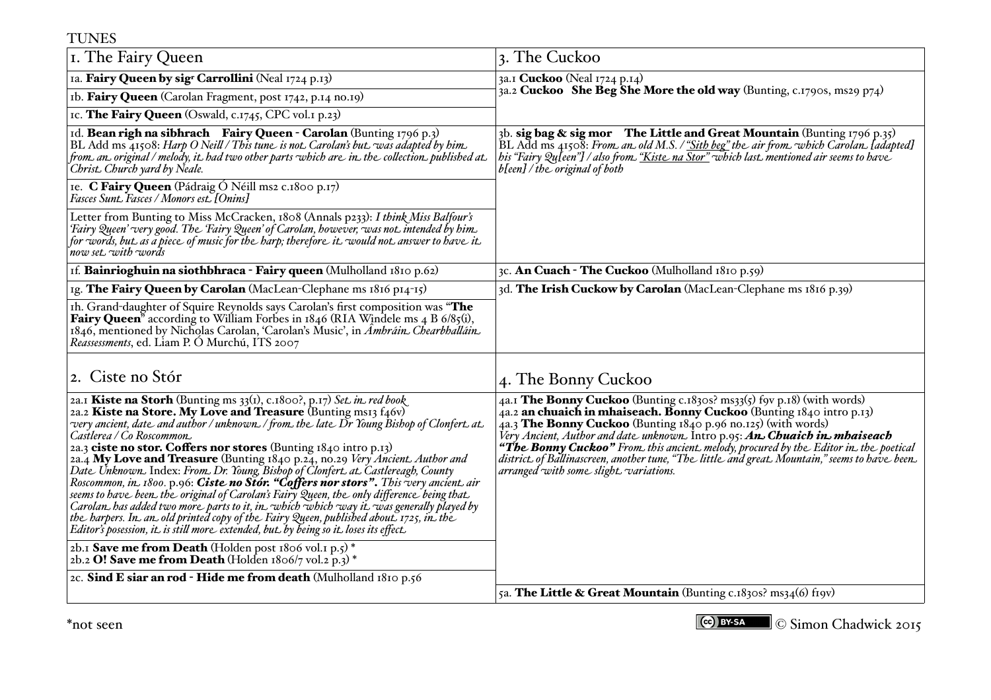| <b>TUNES</b>                                                                                                                                                                                                                                                                                                                                                                                                                                                                                                                                                                                                                                                                                                                                                                                                                                                                                                                                                           |                                                                                                                                                                                                                                                                                                                                                                                                                                                                                                                                                 |  |
|------------------------------------------------------------------------------------------------------------------------------------------------------------------------------------------------------------------------------------------------------------------------------------------------------------------------------------------------------------------------------------------------------------------------------------------------------------------------------------------------------------------------------------------------------------------------------------------------------------------------------------------------------------------------------------------------------------------------------------------------------------------------------------------------------------------------------------------------------------------------------------------------------------------------------------------------------------------------|-------------------------------------------------------------------------------------------------------------------------------------------------------------------------------------------------------------------------------------------------------------------------------------------------------------------------------------------------------------------------------------------------------------------------------------------------------------------------------------------------------------------------------------------------|--|
| I. The Fairy Queen                                                                                                                                                                                                                                                                                                                                                                                                                                                                                                                                                                                                                                                                                                                                                                                                                                                                                                                                                     | 3. The Cuckoo                                                                                                                                                                                                                                                                                                                                                                                                                                                                                                                                   |  |
| Ia. Fairy Queen by sigr Carrollini (Neal 1724 p.13)                                                                                                                                                                                                                                                                                                                                                                                                                                                                                                                                                                                                                                                                                                                                                                                                                                                                                                                    | 3a.1 Cuckoo (Neal 1724 p.14)<br>3a.2 Cuckoo She Beg She More the old way (Bunting, c.1790s, ms29 p74)                                                                                                                                                                                                                                                                                                                                                                                                                                           |  |
| Ib. Fairy Queen (Carolan Fragment, post 1742, p.14 no.19)                                                                                                                                                                                                                                                                                                                                                                                                                                                                                                                                                                                                                                                                                                                                                                                                                                                                                                              |                                                                                                                                                                                                                                                                                                                                                                                                                                                                                                                                                 |  |
| IC. The Fairy Queen (Oswald, c.1745, CPC vol.1 p.23)                                                                                                                                                                                                                                                                                                                                                                                                                                                                                                                                                                                                                                                                                                                                                                                                                                                                                                                   |                                                                                                                                                                                                                                                                                                                                                                                                                                                                                                                                                 |  |
| Id. Bean righ na sibhrach Fairy Queen - Carolan (Bunting 1796 p.3)<br>BL Add ms 41508: Harp O Neill / This tune is not. Carolan's but. was adapted by him.<br>from an original / melody, it had two other parts which are in the collection published at<br>Christ Church yard by Neale.                                                                                                                                                                                                                                                                                                                                                                                                                                                                                                                                                                                                                                                                               | 3b. sig bag & sig mor The Little and Great Mountain (Bunting 1796 p.35)<br>BL Add ms 41508: From an old M.S. / "Sith beg" the air from which Carolan [adapted]<br>his "Fairy Qu[een"] / also from. <u>"Kiste_na Stor"</u> which last. mentioned air seems to have<br>b[een] / the original of both                                                                                                                                                                                                                                              |  |
| Ie. C Fairy Queen (Pádraig Ó Néill ms2 c.1800 p.17)<br>Fasces Sunt. Fasces / Monors est. [Onins]                                                                                                                                                                                                                                                                                                                                                                                                                                                                                                                                                                                                                                                                                                                                                                                                                                                                       |                                                                                                                                                                                                                                                                                                                                                                                                                                                                                                                                                 |  |
| Letter from Bunting to Miss McCracken, 1808 (Annals p233): I think Miss Balfour's<br>'Fairy Queen' very good. The 'Fairy Queen' of Carolan, however, was not intended by him.<br>for words, but as a piece of music for the barp; therefore it would not answer to have it<br>now set with words                                                                                                                                                                                                                                                                                                                                                                                                                                                                                                                                                                                                                                                                       |                                                                                                                                                                                                                                                                                                                                                                                                                                                                                                                                                 |  |
| If. Bainrioghuin na siothbhraca - Fairy queen (Mulholland $1810 p.62$ )                                                                                                                                                                                                                                                                                                                                                                                                                                                                                                                                                                                                                                                                                                                                                                                                                                                                                                | 3c. An Cuach - The Cuckoo (Mulholland 1810 p.59)                                                                                                                                                                                                                                                                                                                                                                                                                                                                                                |  |
| Ig. The Fairy Queen by Carolan (MacLean-Clephane ms 1816 p14-15)                                                                                                                                                                                                                                                                                                                                                                                                                                                                                                                                                                                                                                                                                                                                                                                                                                                                                                       | 3d. The Irish Cuckow by Carolan (MacLean-Clephane ms 1816 p.39)                                                                                                                                                                                                                                                                                                                                                                                                                                                                                 |  |
| Ih. Grand-daughter of Squire Reynolds says Carolan's first composition was "The<br><b>Fairy Queen</b> <sup>8</sup> according to William Forbes in $1846$ (RIA Windele ms 4 B $6/85$ (i),<br>1846, mentioned by Nicholas Carolan, 'Carolan's Music', in Ambrain. Chearbhallain.<br>Reassessments, ed. Liam P. Ó Murchú, ITS 2007                                                                                                                                                                                                                                                                                                                                                                                                                                                                                                                                                                                                                                        |                                                                                                                                                                                                                                                                                                                                                                                                                                                                                                                                                 |  |
| 2. Ciste no Stór                                                                                                                                                                                                                                                                                                                                                                                                                                                                                                                                                                                                                                                                                                                                                                                                                                                                                                                                                       | 4. The Bonny Cuckoo                                                                                                                                                                                                                                                                                                                                                                                                                                                                                                                             |  |
| 2a.I Kiste na Storh (Bunting ms 33(1), c.1800?, p.17) Set in red book<br>2a.2 Kiste na Store. My Love and Treasure (Bunting ms13 f46v)<br>very ancient, date and author / unknown. / from. the late Dr Young Bishop of Clonfert. at.<br>Castlerea / Co Roscommon<br>2a.3 ciste no stor. Coffers nor stores (Bunting 1840 intro p.13)<br>2a.4 My Love and Treasure (Bunting 1840 p.24, no.29 Very Ancient. Author and<br>Date Unknown. Index: From. Dr. Young, Bishop of Clonfert. at. Castlereagh, County<br>Roscommon, in. 1800. p.96: Ciste no Stor. "Coffers nor stors". This very ancient. air<br>seems to have been the original of Carolan's Fairy Queen, the only difference being that<br>Carolan has added two more parts to it, in which which way it was generally played by<br>the harpers. In an old printed copy of the Fairy Queen, published about 1725, in the<br>Editor's posession, it is still more extended, but by being so it loses its effect. | 4a.I The Bonny Cuckoo (Bunting c.1830s? ms33(5) for p.18) (with words)<br>4a.2 an chuaich in mhaiseach. Bonny Cuckoo (Bunting 1840 intro p.13)<br>4a.3 The Bonny Cuckoo (Bunting 1840 p.96 no.125) (with words)<br>Very Ancient, Author and date unknown. Intro p.95: <b>An. Chuaich in. mhaiseach</b><br><b>"The Bonny Cuckoo"</b> From this ancient melody, procured by the Editor in the poetical<br>district of Ballinascreen, another tune, "The little and great. Mountain," seems to have been.<br>arranged with some slight variations. |  |
| 2b.1 Save me from Death (Holden post 1806 vol.1 p.5) *<br>2b.2 O! Save me from Death (Holden 1806/7 vol.2 p.3) *                                                                                                                                                                                                                                                                                                                                                                                                                                                                                                                                                                                                                                                                                                                                                                                                                                                       |                                                                                                                                                                                                                                                                                                                                                                                                                                                                                                                                                 |  |
| 2c. Sind E siar an rod - Hide me from death (Mulholland 1810 p.56                                                                                                                                                                                                                                                                                                                                                                                                                                                                                                                                                                                                                                                                                                                                                                                                                                                                                                      | 5a. The Little & Great Mountain (Bunting c.1830s? ms34(6) frow)                                                                                                                                                                                                                                                                                                                                                                                                                                                                                 |  |
|                                                                                                                                                                                                                                                                                                                                                                                                                                                                                                                                                                                                                                                                                                                                                                                                                                                                                                                                                                        |                                                                                                                                                                                                                                                                                                                                                                                                                                                                                                                                                 |  |

\*not seen © Simon Chadwick 2015